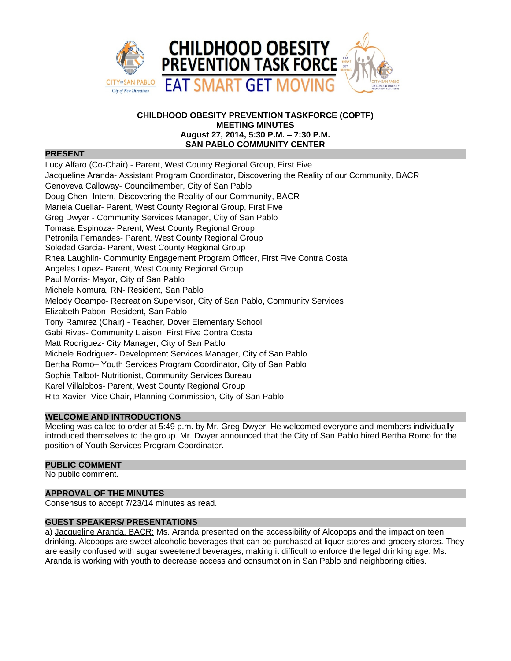

## **CHILDHOOD OBESITY PREVENTION TASKFORCE (COPTF) MEETING MINUTES August 27, 2014, 5:30 P.M. – 7:30 P.M. SAN PABLO COMMUNITY CENTER**

## **PRESENT**

Lucy Alfaro (Co-Chair) - Parent, West County Regional Group, First Five Jacqueline Aranda- Assistant Program Coordinator, Discovering the Reality of our Community, BACR Genoveva Calloway- Councilmember, City of San Pablo Doug Chen- Intern, Discovering the Reality of our Community, BACR Mariela Cuellar- Parent, West County Regional Group, First Five Greg Dwyer - Community Services Manager, City of San Pablo Tomasa Espinoza- Parent, West County Regional Group Petronila Fernandes- Parent, West County Regional Group Soledad Garcia- Parent, West County Regional Group Rhea Laughlin- Community Engagement Program Officer, First Five Contra Costa Angeles Lopez- Parent, West County Regional Group Paul Morris- Mayor, City of San Pablo Michele Nomura, RN- Resident, San Pablo Melody Ocampo- Recreation Supervisor, City of San Pablo, Community Services Elizabeth Pabon- Resident, San Pablo Tony Ramirez (Chair) - Teacher, Dover Elementary School Gabi Rivas- Community Liaison, First Five Contra Costa Matt Rodriguez- City Manager, City of San Pablo Michele Rodriguez- Development Services Manager, City of San Pablo Bertha Romo– Youth Services Program Coordinator, City of San Pablo Sophia Talbot- Nutritionist, Community Services Bureau Karel Villalobos- Parent, West County Regional Group Rita Xavier- Vice Chair, Planning Commission, City of San Pablo

# **WELCOME AND INTRODUCTIONS**

Meeting was called to order at 5:49 p.m. by Mr. Greg Dwyer. He welcomed everyone and members individually introduced themselves to the group. Mr. Dwyer announced that the City of San Pablo hired Bertha Romo for the position of Youth Services Program Coordinator.

## **PUBLIC COMMENT**

No public comment.

## **APPROVAL OF THE MINUTES**

Consensus to accept 7/23/14 minutes as read.

## **GUEST SPEAKERS/ PRESENTATIONS**

a) Jacqueline Aranda, BACR: Ms. Aranda presented on the accessibility of Alcopops and the impact on teen drinking. Alcopops are sweet alcoholic beverages that can be purchased at liquor stores and grocery stores. They are easily confused with sugar sweetened beverages, making it difficult to enforce the legal drinking age. Ms. Aranda is working with youth to decrease access and consumption in San Pablo and neighboring cities.